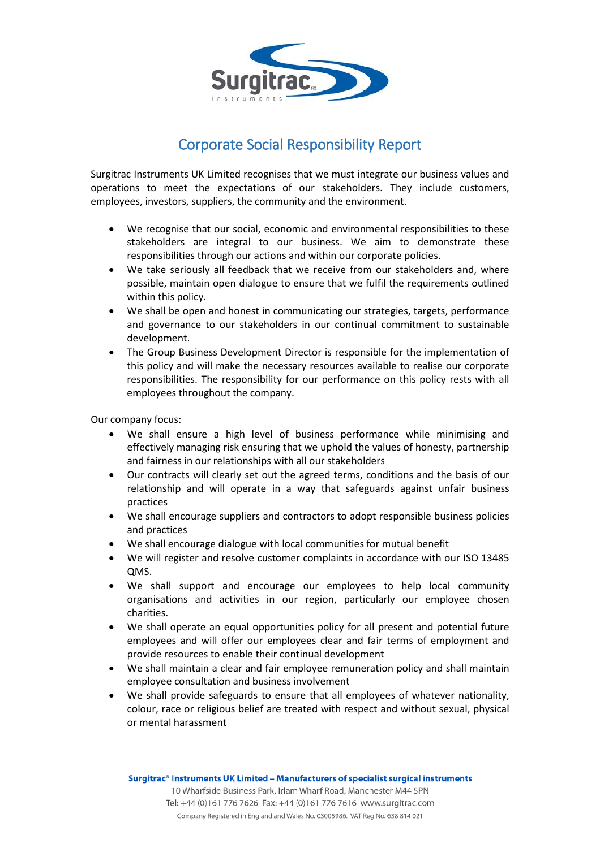

# Corporate Social Responsibility Report

Surgitrac Instruments UK Limited recognises that we must integrate our business values and operations to meet the expectations of our stakeholders. They include customers, employees, investors, suppliers, the community and the environment.

- We recognise that our social, economic and environmental responsibilities to these stakeholders are integral to our business. We aim to demonstrate these responsibilities through our actions and within our corporate policies.
- We take seriously all feedback that we receive from our stakeholders and, where possible, maintain open dialogue to ensure that we fulfil the requirements outlined within this policy.
- We shall be open and honest in communicating our strategies, targets, performance and governance to our stakeholders in our continual commitment to sustainable development.
- The Group Business Development Director is responsible for the implementation of this policy and will make the necessary resources available to realise our corporate responsibilities. The responsibility for our performance on this policy rests with all employees throughout the company.

Our company focus:

- We shall ensure a high level of business performance while minimising and effectively managing risk ensuring that we uphold the values of honesty, partnership and fairness in our relationships with all our stakeholders
- Our contracts will clearly set out the agreed terms, conditions and the basis of our relationship and will operate in a way that safeguards against unfair business practices
- We shall encourage suppliers and contractors to adopt responsible business policies and practices
- We shall encourage dialogue with local communities for mutual benefit
- We will register and resolve customer complaints in accordance with our ISO 13485 QMS.
- We shall support and encourage our employees to help local community organisations and activities in our region, particularly our employee chosen charities.
- We shall operate an equal opportunities policy for all present and potential future employees and will offer our employees clear and fair terms of employment and provide resources to enable their continual development
- We shall maintain a clear and fair employee remuneration policy and shall maintain employee consultation and business involvement
- We shall provide safeguards to ensure that all employees of whatever nationality, colour, race or religious belief are treated with respect and without sexual, physical or mental harassment